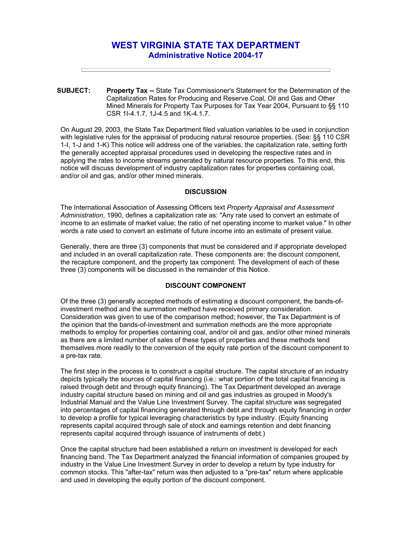# **WEST VIRGINIA STATE TAX DEPARTMENT Administrative Notice 2004-17**

**SUBJECT: Property Tax --** State Tax Commissioner's Statement for the Determination of the Capitalization Rates for Producing and Reserve Coal, Oil and Gas and Other Mined Minerals for Property Tax Purposes for Tax Year 2004, Pursuant to §§ 110 CSR 1I-4.1.7, 1J-4.5 and 1K-4.1.7.

On August 29, 2003, the State Tax Department filed valuation variables to be used in conjunction with legislative rules for the appraisal of producing natural resource properties. (See: §§ 110 CSR 1-I, 1-J and 1-K) This notice will address one of the variables, the capitalization rate, setting forth the generally accepted appraisal procedures used in developing the respective rates and in applying the rates to income streams generated by natural resource properties. To this end, this notice will discuss development of industry capitalization rates for properties containing coal, and/or oil and gas, and/or other mined minerals.

#### **DISCUSSION**

The International Association of Assessing Officers text *Property Appraisal and Assessment Administration*, 1990, defines a capitalization rate as: "Any rate used to convert an estimate of income to an estimate of market value; the ratio of net operating income to market value." In other words a rate used to convert an estimate of future income into an estimate of present value.

Generally, there are three (3) components that must be considered and if appropriate developed and included in an overall capitalization rate. These components are: the discount component, the recapture component, and the property tax component. The development of each of these three (3) components will be discussed in the remainder of this Notice.

## **DISCOUNT COMPONENT**

Of the three (3) generally accepted methods of estimating a discount component, the bands-ofinvestment method and the summation method have received primary consideration. Consideration was given to use of the comparison method; however, the Tax Department is of the opinion that the bands-of-investment and summation methods are the more appropriate methods to employ for properties containing coal, and/or oil and gas, and/or other mined minerals as there are a limited number of sales of these types of properties and these methods lend themselves more readily to the conversion of the equity rate portion of the discount component to a pre-tax rate.

The first step in the process is to construct a capital structure. The capital structure of an industry depicts typically the sources of capital financing (i.e.: what portion of the total capital financing is raised through debt and through equity financing). The Tax Department developed an average industry capital structure based on mining and oil and gas industries as grouped in Moody's Industrial Manual and the Value Line Investment Survey. The capital structure was segregated into percentages of capital financing generated through debt and through equity financing in order to develop a profile for typical leveraging characteristics by type industry. (Equity financing represents capital acquired through sale of stock and earnings retention and debt financing represents capital acquired through issuance of instruments of debt.)

Once the capital structure had been established a return on investment is developed for each financing band. The Tax Department analyzed the financial information of companies grouped by industry in the Value Line Investment Survey in order to develop a return by type industry for common stocks. This "after-tax" return was then adjusted to a "pre-tax" return where applicable and used in developing the equity portion of the discount component.